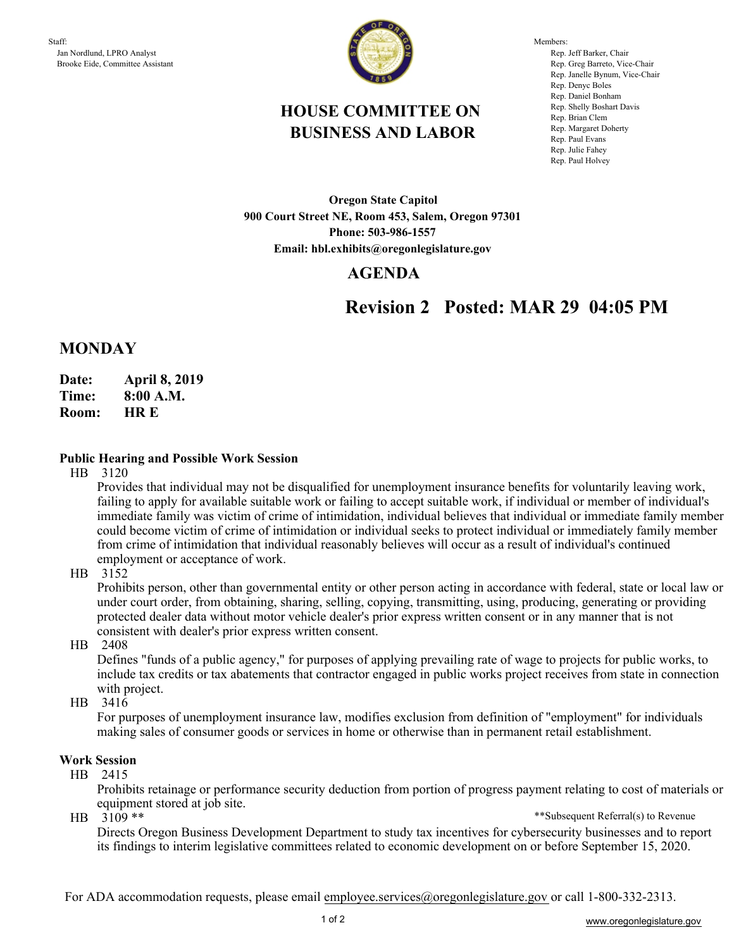

Members: Rep. Jeff Barker, Chair Rep. Greg Barreto, Vice-Chair Rep. Janelle Bynum, Vice-Chair Rep. Denyc Boles Rep. Daniel Bonham Rep. Shelly Boshart Davis Rep. Brian Clem Rep. Margaret Doherty Rep. Paul Evans Rep. Julie Fahey Rep. Paul Holvey

## **HOUSE COMMITTEE ON BUSINESS AND LABOR**

**Oregon State Capitol 900 Court Street NE, Room 453, Salem, Oregon 97301 Phone: 503-986-1557 Email: hbl.exhibits@oregonlegislature.gov**

### **AGENDA**

# **Revision 2 Posted: MAR 29 04:05 PM**

### **MONDAY**

- **Date: April 8, 2019**
- **Time: 8:00 A.M.**
- **HR E Room:**

#### **Public Hearing and Possible Work Session**

HB 3120

Provides that individual may not be disqualified for unemployment insurance benefits for voluntarily leaving work, failing to apply for available suitable work or failing to accept suitable work, if individual or member of individual's immediate family was victim of crime of intimidation, individual believes that individual or immediate family member could become victim of crime of intimidation or individual seeks to protect individual or immediately family member from crime of intimidation that individual reasonably believes will occur as a result of individual's continued employment or acceptance of work.

HB 3152

Prohibits person, other than governmental entity or other person acting in accordance with federal, state or local law or under court order, from obtaining, sharing, selling, copying, transmitting, using, producing, generating or providing protected dealer data without motor vehicle dealer's prior express written consent or in any manner that is not consistent with dealer's prior express written consent.

HB 2408

Defines "funds of a public agency," for purposes of applying prevailing rate of wage to projects for public works, to include tax credits or tax abatements that contractor engaged in public works project receives from state in connection with project.

HB 3416

For purposes of unemployment insurance law, modifies exclusion from definition of "employment" for individuals making sales of consumer goods or services in home or otherwise than in permanent retail establishment.

#### **Work Session**

HB 2415

Prohibits retainage or performance security deduction from portion of progress payment relating to cost of materials or equipment stored at job site.

HB 3109 \*\*

\*\*Subsequent Referral(s) to Revenue

Directs Oregon Business Development Department to study tax incentives for cybersecurity businesses and to report its findings to interim legislative committees related to economic development on or before September 15, 2020.

For ADA accommodation requests, please email employee.services@oregonlegislature.gov or call 1-800-332-2313.